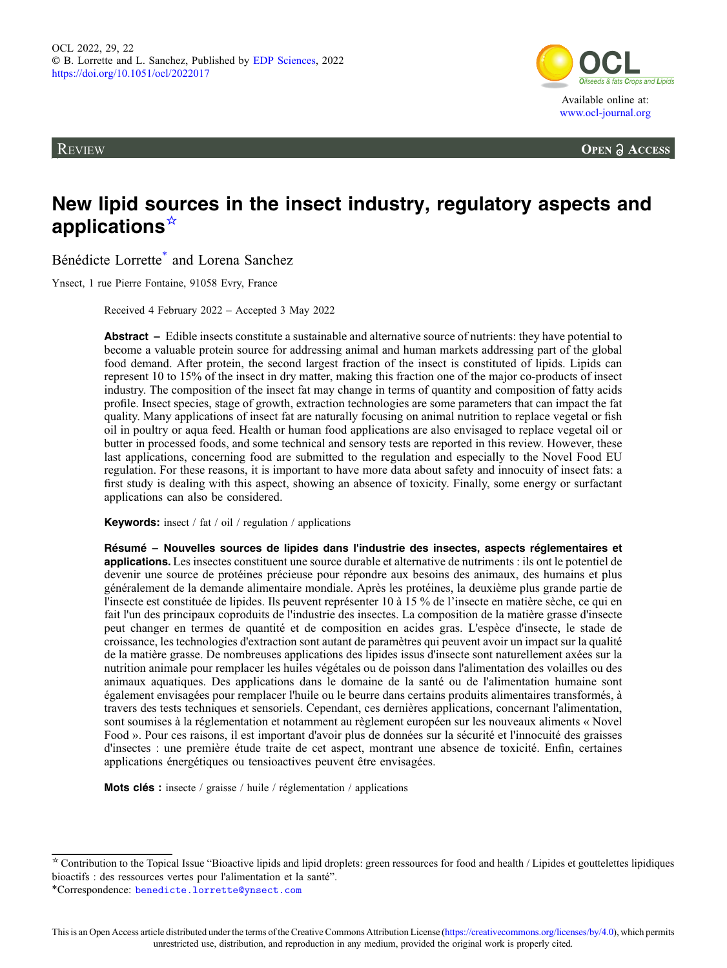**REVIEW** 



**OPEN A ACCESS** 

# New lipid sources in the insect industry, regulatory aspects and applications☆

Bénédicte Lorrette\* and Lorena Sanchez

Ynsect, 1 rue Pierre Fontaine, 91058 Evry, France

Received 4 February 2022 – Accepted 3 May 2022

Abstract – Edible insects constitute a sustainable and alternative source of nutrients: they have potential to become a valuable protein source for addressing animal and human markets addressing part of the global food demand. After protein, the second largest fraction of the insect is constituted of lipids. Lipids can represent 10 to 15% of the insect in dry matter, making this fraction one of the major co-products of insect industry. The composition of the insect fat may change in terms of quantity and composition of fatty acids profile. Insect species, stage of growth, extraction technologies are some parameters that can impact the fat quality. Many applications of insect fat are naturally focusing on animal nutrition to replace vegetal or fish oil in poultry or aqua feed. Health or human food applications are also envisaged to replace vegetal oil or butter in processed foods, and some technical and sensory tests are reported in this review. However, these last applications, concerning food are submitted to the regulation and especially to the Novel Food EU regulation. For these reasons, it is important to have more data about safety and innocuity of insect fats: a first study is dealing with this aspect, showing an absence of toxicity. Finally, some energy or surfactant applications can also be considered.

Keywords: insect / fat / oil / regulation / applications

Résumé – Nouvelles sources de lipides dans l'industrie des insectes, aspects réglementaires et applications. Les insectes constituent une source durable et alternative de nutriments : ils ont le potentiel de devenir une source de protéines précieuse pour répondre aux besoins des animaux, des humains et plus généralement de la demande alimentaire mondiale. Après les protéines, la deuxième plus grande partie de l'insecte est constituée de lipides. Ils peuvent représenter 10 à 15 % de l'insecte en matière sèche, ce qui en fait l'un des principaux coproduits de l'industrie des insectes. La composition de la matière grasse d'insecte peut changer en termes de quantité et de composition en acides gras. L'espèce d'insecte, le stade de croissance, les technologies d'extraction sont autant de paramètres qui peuvent avoir un impact sur la qualité de la matière grasse. De nombreuses applications des lipides issus d'insecte sont naturellement axées sur la nutrition animale pour remplacer les huiles végétales ou de poisson dans l'alimentation des volailles ou des animaux aquatiques. Des applications dans le domaine de la santé ou de l'alimentation humaine sont également envisagées pour remplacer l'huile ou le beurre dans certains produits alimentaires transformés, à travers des tests techniques et sensoriels. Cependant, ces dernières applications, concernant l'alimentation, sont soumises à la réglementation et notamment au règlement européen sur les nouveaux aliments « Novel Food ». Pour ces raisons, il est important d'avoir plus de données sur la sécurité et l'innocuité des graisses d'insectes : une première étude traite de cet aspect, montrant une absence de toxicité. Enfin, certaines applications énergétiques ou tensioactives peuvent être envisagées.

Mots clés : insecte / graisse / huile / réglementation / applications

 $*$  Contribution to the Topical Issue "Bioactive lipids and lipid droplets: green ressources for food and health / Lipides et gouttelettes lipidiques bioactifs : des ressources vertes pour l'alimentation et la santé".

<sup>\*</sup>Correspondence: [benedicte.lorrette@ynsect.com](mailto:benedicte.lorrette@ynsect.com)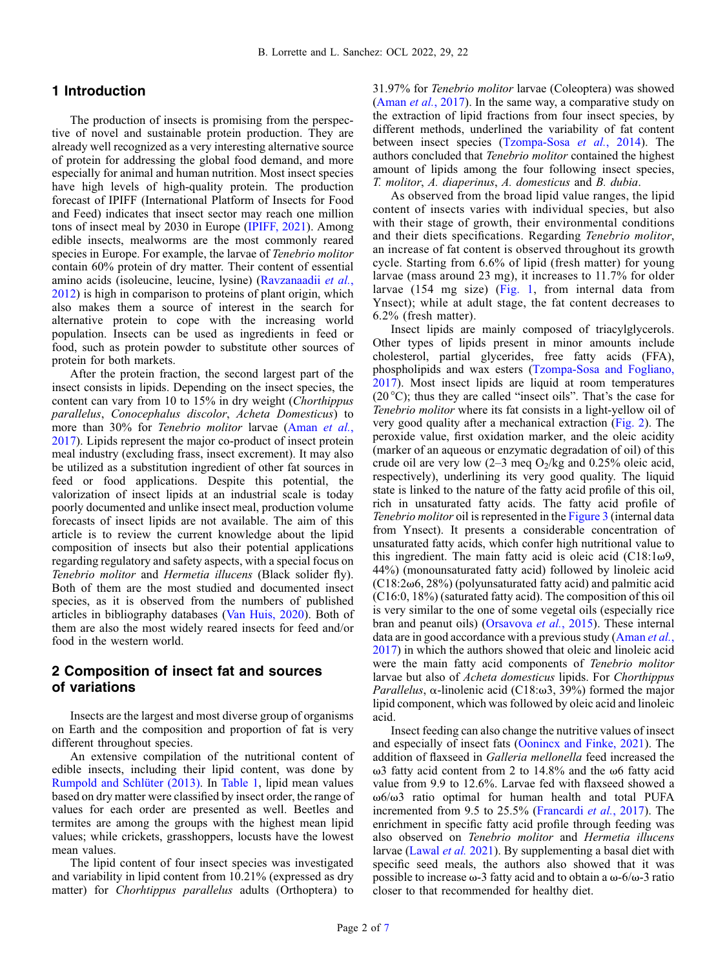# 1 Introduction

The production of insects is promising from the perspective of novel and sustainable protein production. They are already well recognized as a very interesting alternative source of protein for addressing the global food demand, and more especially for animal and human nutrition. Most insect species have high levels of high-quality protein. The production forecast of IPIFF (International Platform of Insects for Food and Feed) indicates that insect sector may reach one million tons of insect meal by 2030 in Europe [\(IPIFF, 2021](#page-5-0)). Among edible insects, mealworms are the most commonly reared species in Europe. For example, the larvae of Tenebrio molitor contain 60% protein of dry matter. Their content of essential amino acids (isoleucine, leucine, lysine) ([Ravzanaadii](#page-6-0) et al., [2012](#page-6-0)) is high in comparison to proteins of plant origin, which also makes them a source of interest in the search for alternative protein to cope with the increasing world population. Insects can be used as ingredients in feed or food, such as protein powder to substitute other sources of protein for both markets.

After the protein fraction, the second largest part of the insect consists in lipids. Depending on the insect species, the content can vary from 10 to 15% in dry weight (Chorthippus parallelus, Conocephalus discolor, Acheta Domesticus) to more than 30% for *Tenebrio molitor* larvae ([Aman](#page-5-0) et al., [2017](#page-5-0)). Lipids represent the major co-product of insect protein meal industry (excluding frass, insect excrement). It may also be utilized as a substitution ingredient of other fat sources in feed or food applications. Despite this potential, the valorization of insect lipids at an industrial scale is today poorly documented and unlike insect meal, production volume forecasts of insect lipids are not available. The aim of this article is to review the current knowledge about the lipid composition of insects but also their potential applications regarding regulatory and safety aspects, with a special focus on Tenebrio molitor and Hermetia illucens (Black solider fly). Both of them are the most studied and documented insect species, as it is observed from the numbers of published articles in bibliography databases [\(Van Huis, 2020](#page-6-0)). Both of them are also the most widely reared insects for feed and/or food in the western world.

# 2 Composition of insect fat and sources of variations

Insects are the largest and most diverse group of organisms on Earth and the composition and proportion of fat is very different throughout species.

An extensive compilation of the nutritional content of edible insects, including their lipid content, was done by [Rumpold and Schlüter \(2013\).](#page-6-0) In [Table 1,](#page-2-0) lipid mean values based on dry matter were classified by insect order, the range of values for each order are presented as well. Beetles and termites are among the groups with the highest mean lipid values; while crickets, grasshoppers, locusts have the lowest mean values.

The lipid content of four insect species was investigated and variability in lipid content from 10.21% (expressed as dry matter) for Chorhtippus parallelus adults (Orthoptera) to 31.97% for Tenebrio molitor larvae (Coleoptera) was showed (Aman et al.[, 2017\)](#page-5-0). In the same way, a comparative study on the extraction of lipid fractions from four insect species, by different methods, underlined the variability of fat content between insect species [\(Tzompa-Sosa](#page-6-0) et al., 2014). The authors concluded that Tenebrio molitor contained the highest amount of lipids among the four following insect species, T. molitor, A. diaperinus, A. domesticus and B. dubia.

As observed from the broad lipid value ranges, the lipid content of insects varies with individual species, but also with their stage of growth, their environmental conditions and their diets specifications. Regarding Tenebrio molitor, an increase of fat content is observed throughout its growth cycle. Starting from 6.6% of lipid (fresh matter) for young larvae (mass around 23 mg), it increases to 11.7% for older larvae (154 mg size) ([Fig. 1](#page-2-0), from internal data from Ynsect); while at adult stage, the fat content decreases to 6.2% (fresh matter).

Insect lipids are mainly composed of triacylglycerols. Other types of lipids present in minor amounts include cholesterol, partial glycerides, free fatty acids (FFA), phospholipids and wax esters ([Tzompa-Sosa and Fogliano,](#page-6-0) [2017](#page-6-0)). Most insect lipids are liquid at room temperatures  $(20\degree C)$ ; thus they are called "insect oils". That's the case for Tenebrio molitor where its fat consists in a light-yellow oil of very good quality after a mechanical extraction [\(Fig. 2](#page-2-0)). The peroxide value, first oxidation marker, and the oleic acidity (marker of an aqueous or enzymatic degradation of oil) of this crude oil are very low  $(2-3 \text{ meq O}_2/\text{kg and } 0.25\%$  oleic acid, respectively), underlining its very good quality. The liquid state is linked to the nature of the fatty acid profile of this oil, rich in unsaturated fatty acids. The fatty acid profile of Tenebrio molitor oil is represented in the [Figure 3](#page-3-0) (internal data from Ynsect). It presents a considerable concentration of unsaturated fatty acids, which confer high nutritional value to this ingredient. The main fatty acid is oleic acid  $(C18:1\omega9,$ 44%) (monounsaturated fatty acid) followed by linoleic acid  $(C18:2\omega 6, 28\%)$  (polyunsaturated fatty acid) and palmitic acid (C16:0, 18%) (saturated fatty acid). The composition of this oil is very similar to the one of some vegetal oils (especially rice bran and peanut oils) [\(Orsavova](#page-6-0) et al., 2015). These internal data are in good accordance with a previous study ([Aman](#page-5-0) et al., [2017](#page-5-0)) in which the authors showed that oleic and linoleic acid were the main fatty acid components of Tenebrio molitor larvae but also of Acheta domesticus lipids. For Chorthippus Parallelus,  $\alpha$ -linolenic acid (C18: $\omega$ 3, 39%) formed the major lipid component, which was followed by oleic acid and linoleic acid.

Insect feeding can also change the nutritive values of insect and especially of insect fats ([Oonincx and Finke, 2021](#page-6-0)). The addition of flaxseed in Galleria mellonella feed increased the  $\omega$ 3 fatty acid content from 2 to 14.8% and the  $\omega$ 6 fatty acid value from 9.9 to 12.6%. Larvae fed with flaxseed showed a  $\omega$ 6/ $\omega$ 3 ratio optimal for human health and total PUFA incremented from 9.5 to 25.5% [\(Francardi](#page-5-0) et al., 2017). The enrichment in specific fatty acid profile through feeding was also observed on Tenebrio molitor and Hermetia illucens larvae [\(Lawal](#page-6-0) et al. 2021). By supplementing a basal diet with specific seed meals, the authors also showed that it was possible to increase  $\omega$ -3 fatty acid and to obtain a  $\omega$ -6/ $\omega$ -3 ratio closer to that recommended for healthy diet.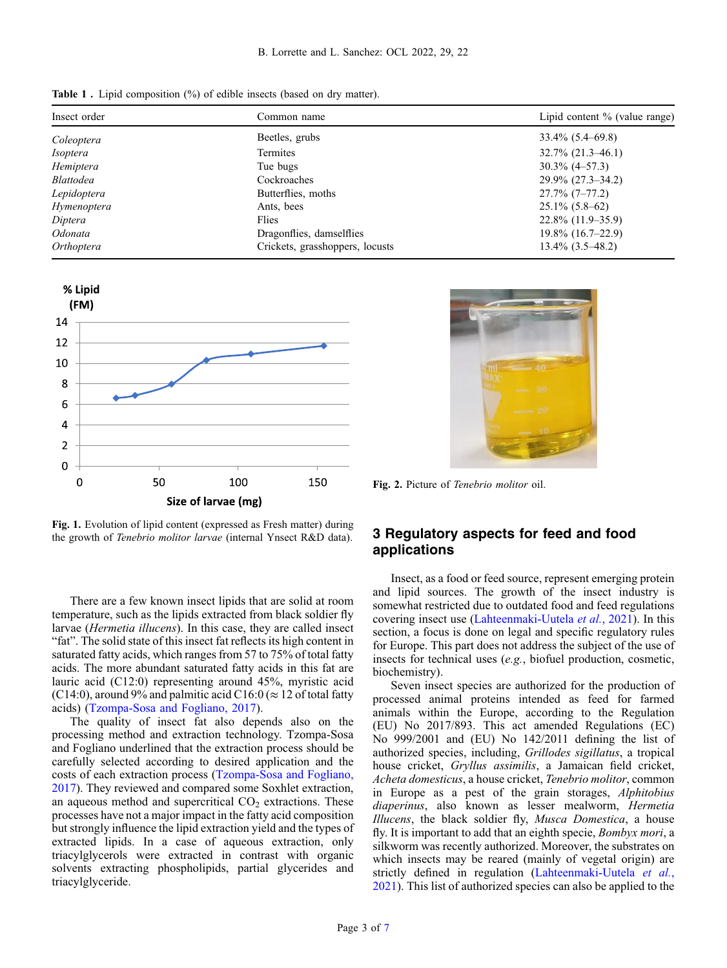<span id="page-2-0"></span>Table 1. Lipid composition (%) of edible insects (based on dry matter).

| Insect order     | Common name                     | Lipid content % (value range) |
|------------------|---------------------------------|-------------------------------|
| Coleoptera       | Beetles, grubs                  | $33.4\%$ (5.4–69.8)           |
| <i>Isoptera</i>  | <b>Termites</b>                 | $32.7\%$ $(21.3-46.1)$        |
| Hemiptera        | Tue bugs                        | $30.3\%$ (4-57.3)             |
| <i>Blattodea</i> | Cockroaches                     | $29.9\%$ (27.3–34.2)          |
| Lepidoptera      | Butterflies, moths              | $27.7\%$ (7-77.2)             |
| Hymenoptera      | Ants, bees                      | $25.1\%$ (5.8–62)             |
| Diptera          | Flies                           | $22.8\%$ (11.9–35.9)          |
| Odonata          | Dragonflies, damselflies        | $19.8\%$ (16.7–22.9)          |
| Orthoptera       | Crickets, grasshoppers, locusts | $13.4\%$ $(3.5-48.2)$         |



Fig. 1. Evolution of lipid content (expressed as Fresh matter) during the growth of Tenebrio molitor larvae (internal Ynsect R&D data).

There are a few known insect lipids that are solid at room temperature, such as the lipids extracted from black soldier fly larvae (Hermetia illucens). In this case, they are called insect "fat". The solid state of this insect fat reflects its high content in saturated fatty acids, which ranges from 57 to 75% of total fatty acids. The more abundant saturated fatty acids in this fat are lauric acid (C12:0) representing around 45%, myristic acid (C14:0), around 9% and palmitic acid C16:0 ( $\approx$  12 of total fatty acids) ([Tzompa-Sosa and Fogliano, 2017\)](#page-6-0).

The quality of insect fat also depends also on the processing method and extraction technology. Tzompa-Sosa and Fogliano underlined that the extraction process should be carefully selected according to desired application and the costs of each extraction process ([Tzompa-Sosa and Fogliano,](#page-6-0) [2017](#page-6-0)). They reviewed and compared some Soxhlet extraction, an aqueous method and supercritical  $CO<sub>2</sub>$  extractions. These processes have not a major impact in the fatty acid composition but strongly influence the lipid extraction yield and the types of extracted lipids. In a case of aqueous extraction, only triacylglycerols were extracted in contrast with organic solvents extracting phospholipids, partial glycerides and triacylglyceride.



Fig. 2. Picture of Tenebrio molitor oil.

# 3 Regulatory aspects for feed and food applications

Insect, as a food or feed source, represent emerging protein and lipid sources. The growth of the insect industry is somewhat restricted due to outdated food and feed regulations covering insect use ([Lahteenmaki-Uutela](#page-6-0) et al., 2021). In this section, a focus is done on legal and specific regulatory rules for Europe. This part does not address the subject of the use of insects for technical uses (e.g., biofuel production, cosmetic, biochemistry).

Seven insect species are authorized for the production of processed animal proteins intended as feed for farmed animals within the Europe, according to the Regulation (EU) No 2017/893. This act amended Regulations (EC) No 999/2001 and (EU) No 142/2011 defining the list of authorized species, including, Grillodes sigillatus, a tropical house cricket, Gryllus assimilis, a Jamaican field cricket, Acheta domesticus, a house cricket, Tenebrio molitor, common in Europe as a pest of the grain storages, Alphitobius diaperinus, also known as lesser mealworm, Hermetia Illucens, the black soldier fly, Musca Domestica, a house fly. It is important to add that an eighth specie, *Bombyx mori*, a silkworm was recently authorized. Moreover, the substrates on which insects may be reared (mainly of vegetal origin) are strictly defined in regulation ([Lahteenmaki-Uutela](#page-6-0) et al., [2021](#page-6-0)). This list of authorized species can also be applied to the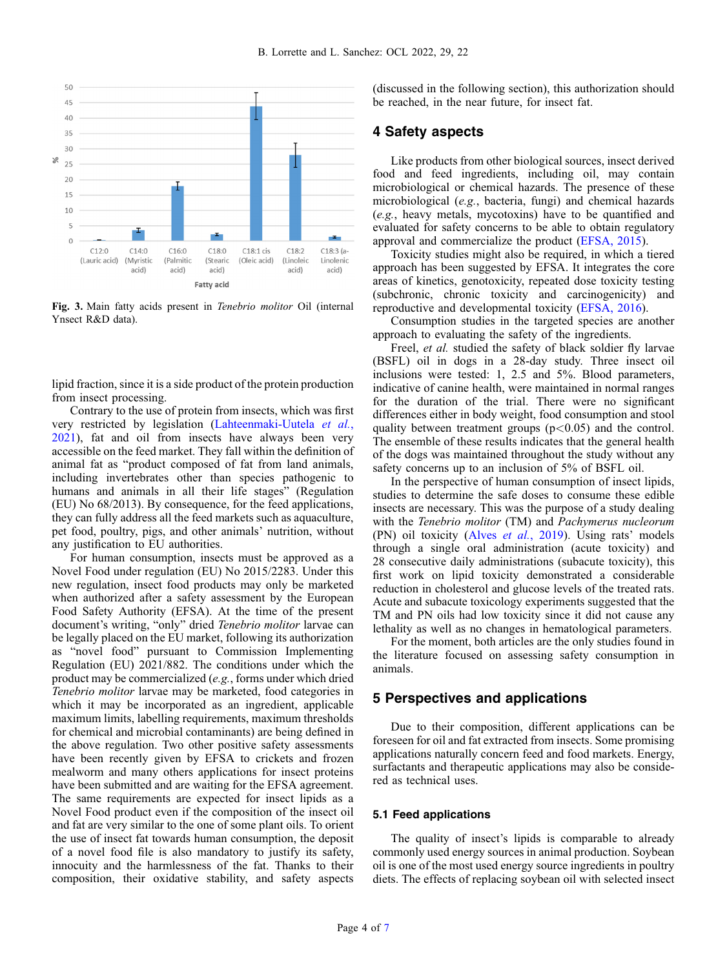<span id="page-3-0"></span>

Fig. 3. Main fatty acids present in Tenebrio molitor Oil (internal Ynsect R&D data).

lipid fraction, since it is a side product of the protein production from insect processing.

Contrary to the use of protein from insects, which was first very restricted by legislation [\(Lahteenmaki-Uutela](#page-6-0) et al., [2021](#page-6-0)), fat and oil from insects have always been very accessible on the feed market. They fall within the definition of animal fat as "product composed of fat from land animals, including invertebrates other than species pathogenic to humans and animals in all their life stages" (Regulation (EU) No 68/2013). By consequence, for the feed applications, they can fully address all the feed markets such as aquaculture, pet food, poultry, pigs, and other animals' nutrition, without any justification to EU authorities.

For human consumption, insects must be approved as a Novel Food under regulation (EU) No 2015/2283. Under this new regulation, insect food products may only be marketed when authorized after a safety assessment by the European Food Safety Authority (EFSA). At the time of the present document's writing, "only" dried Tenebrio molitor larvae can be legally placed on the EU market, following its authorization as "novel food" pursuant to Commission Implementing Regulation (EU) 2021/882. The conditions under which the product may be commercialized (e.g., forms under which dried Tenebrio molitor larvae may be marketed, food categories in which it may be incorporated as an ingredient, applicable maximum limits, labelling requirements, maximum thresholds for chemical and microbial contaminants) are being defined in the above regulation. Two other positive safety assessments have been recently given by EFSA to crickets and frozen mealworm and many others applications for insect proteins have been submitted and are waiting for the EFSA agreement. The same requirements are expected for insect lipids as a Novel Food product even if the composition of the insect oil and fat are very similar to the one of some plant oils. To orient the use of insect fat towards human consumption, the deposit of a novel food file is also mandatory to justify its safety, innocuity and the harmlessness of the fat. Thanks to their composition, their oxidative stability, and safety aspects

(discussed in the following section), this authorization should be reached, in the near future, for insect fat.

#### 4 Safety aspects

Like products from other biological sources, insect derived food and feed ingredients, including oil, may contain microbiological or chemical hazards. The presence of these microbiological (e.g., bacteria, fungi) and chemical hazards (e.g., heavy metals, mycotoxins) have to be quantified and evaluated for safety concerns to be able to obtain regulatory approval and commercialize the product ([EFSA, 2015\)](#page-5-0).

Toxicity studies might also be required, in which a tiered approach has been suggested by EFSA. It integrates the core areas of kinetics, genotoxicity, repeated dose toxicity testing (subchronic, chronic toxicity and carcinogenicity) and reproductive and developmental toxicity ([EFSA, 2016\)](#page-5-0).

Consumption studies in the targeted species are another approach to evaluating the safety of the ingredients.

Freel, *et al.* studied the safety of black soldier fly larvae (BSFL) oil in dogs in a 28-day study. Three insect oil inclusions were tested: 1, 2.5 and 5%. Blood parameters, indicative of canine health, were maintained in normal ranges for the duration of the trial. There were no significant differences either in body weight, food consumption and stool quality between treatment groups  $(p<0.05)$  and the control. The ensemble of these results indicates that the general health of the dogs was maintained throughout the study without any safety concerns up to an inclusion of 5% of BSFL oil.

In the perspective of human consumption of insect lipids, studies to determine the safe doses to consume these edible insects are necessary. This was the purpose of a study dealing with the Tenebrio molitor (TM) and Pachymerus nucleorum (PN) oil toxicity (Alves et al.[, 2019\)](#page-6-0). Using rats' models through a single oral administration (acute toxicity) and 28 consecutive daily administrations (subacute toxicity), this first work on lipid toxicity demonstrated a considerable reduction in cholesterol and glucose levels of the treated rats. Acute and subacute toxicology experiments suggested that the TM and PN oils had low toxicity since it did not cause any lethality as well as no changes in hematological parameters.

For the moment, both articles are the only studies found in the literature focused on assessing safety consumption in animals.

## 5 Perspectives and applications

Due to their composition, different applications can be foreseen for oil and fat extracted from insects. Some promising applications naturally concern feed and food markets. Energy, surfactants and therapeutic applications may also be considered as technical uses.

#### 5.1 Feed applications

The quality of insect's lipids is comparable to already commonly used energy sources in animal production. Soybean oil is one of the most used energy source ingredients in poultry diets. The effects of replacing soybean oil with selected insect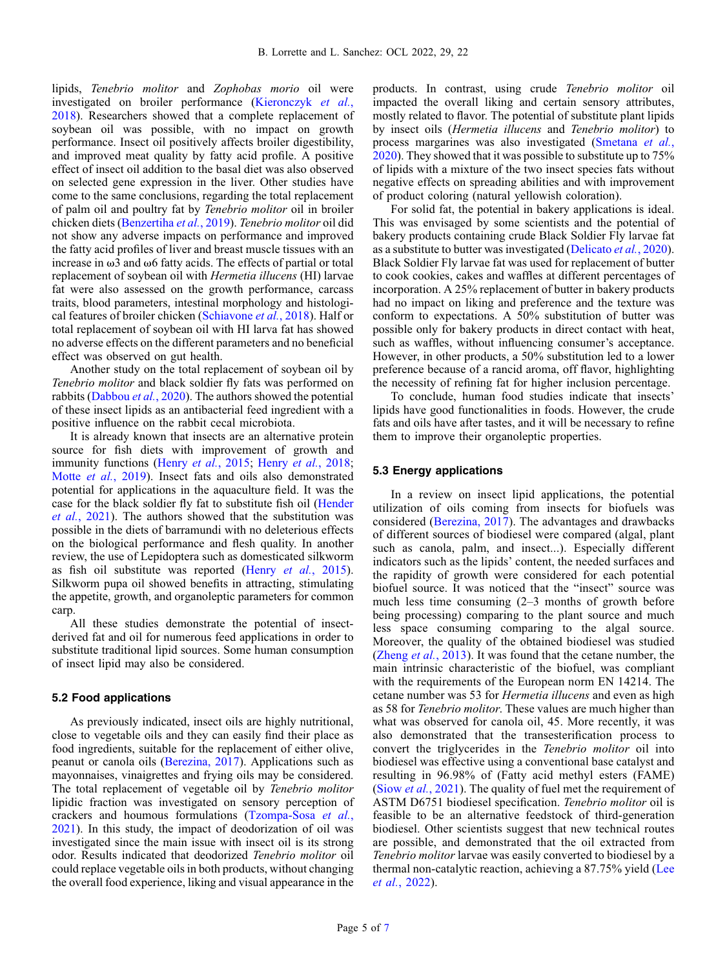lipids, Tenebrio molitor and Zophobas morio oil were investigated on broiler performance [\(Kieronczyk](#page-5-0) et al., [2018](#page-5-0)). Researchers showed that a complete replacement of soybean oil was possible, with no impact on growth performance. Insect oil positively affects broiler digestibility, and improved meat quality by fatty acid profile. A positive effect of insect oil addition to the basal diet was also observed on selected gene expression in the liver. Other studies have come to the same conclusions, regarding the total replacement of palm oil and poultry fat by Tenebrio molitor oil in broiler chicken diets ([Benzertiha](#page-5-0) et al., 2019). Tenebrio molitor oil did not show any adverse impacts on performance and improved the fatty acid profiles of liver and breast muscle tissues with an increase in  $\omega$ 3 and  $\omega$ 6 fatty acids. The effects of partial or total replacement of soybean oil with Hermetia illucens (HI) larvae fat were also assessed on the growth performance, carcass traits, blood parameters, intestinal morphology and histological features of broiler chicken ([Schiavone](#page-6-0) et al., 2018). Half or total replacement of soybean oil with HI larva fat has showed no adverse effects on the different parameters and no beneficial effect was observed on gut health.

Another study on the total replacement of soybean oil by Tenebrio molitor and black soldier fly fats was performed on rabbits ([Dabbou](#page-5-0) et al., 2020). The authors showed the potential of these insect lipids as an antibacterial feed ingredient with a positive influence on the rabbit cecal microbiota.

It is already known that insects are an alternative protein source for fish diets with improvement of growth and immunity functions (Henry et al.[, 2015;](#page-5-0) Henry et al.[, 2018](#page-5-0); Motte et al.[, 2019\)](#page-6-0). Insect fats and oils also demonstrated potential for applications in the aquaculture field. It was the case for the black soldier fly fat to substitute fish oil ([Hender](#page-5-0) et al.[, 2021\)](#page-5-0). The authors showed that the substitution was possible in the diets of barramundi with no deleterious effects on the biological performance and flesh quality. In another review, the use of Lepidoptera such as domesticated silkworm as fish oil substitute was reported (Henry et al.[, 2015](#page-5-0)). Silkworm pupa oil showed benefits in attracting, stimulating the appetite, growth, and organoleptic parameters for common carp.

All these studies demonstrate the potential of insectderived fat and oil for numerous feed applications in order to substitute traditional lipid sources. Some human consumption of insect lipid may also be considered.

#### 5.2 Food applications

As previously indicated, insect oils are highly nutritional, close to vegetable oils and they can easily find their place as food ingredients, suitable for the replacement of either olive, peanut or canola oils ([Berezina, 2017](#page-5-0)). Applications such as mayonnaises, vinaigrettes and frying oils may be considered. The total replacement of vegetable oil by Tenebrio molitor lipidic fraction was investigated on sensory perception of crackers and houmous formulations ([Tzompa-Sosa](#page-6-0) et al., [2021](#page-6-0)). In this study, the impact of deodorization of oil was investigated since the main issue with insect oil is its strong odor. Results indicated that deodorized Tenebrio molitor oil could replace vegetable oils in both products, without changing the overall food experience, liking and visual appearance in the products. In contrast, using crude Tenebrio molitor oil impacted the overall liking and certain sensory attributes, mostly related to flavor. The potential of substitute plant lipids by insect oils (Hermetia illucens and Tenebrio molitor) to process margarines was also investigated [\(Smetana](#page-6-0) et al., [2020](#page-6-0)). They showed that it was possible to substitute up to 75% of lipids with a mixture of the two insect species fats without negative effects on spreading abilities and with improvement of product coloring (natural yellowish coloration).

For solid fat, the potential in bakery applications is ideal. This was envisaged by some scientists and the potential of bakery products containing crude Black Soldier Fly larvae fat as a substitute to butter was investigated ([Delicato](#page-5-0) et al., 2020). Black Soldier Fly larvae fat was used for replacement of butter to cook cookies, cakes and waffles at different percentages of incorporation. A 25% replacement of butter in bakery products had no impact on liking and preference and the texture was conform to expectations. A 50% substitution of butter was possible only for bakery products in direct contact with heat, such as waffles, without influencing consumer's acceptance. However, in other products, a 50% substitution led to a lower preference because of a rancid aroma, off flavor, highlighting the necessity of refining fat for higher inclusion percentage.

To conclude, human food studies indicate that insects' lipids have good functionalities in foods. However, the crude fats and oils have after tastes, and it will be necessary to refine them to improve their organoleptic properties.

#### 5.3 Energy applications

In a review on insect lipid applications, the potential utilization of oils coming from insects for biofuels was considered [\(Berezina, 2017\)](#page-5-0). The advantages and drawbacks of different sources of biodiesel were compared (algal, plant such as canola, palm, and insect...). Especially different indicators such as the lipids' content, the needed surfaces and the rapidity of growth were considered for each potential biofuel source. It was noticed that the "insect" source was much less time consuming (2–3 months of growth before being processing) comparing to the plant source and much less space consuming comparing to the algal source. Moreover, the quality of the obtained biodiesel was studied (*Zheng et al.*[, 2013\)](#page-6-0). It was found that the cetane number, the main intrinsic characteristic of the biofuel, was compliant with the requirements of the European norm EN 14214. The cetane number was 53 for Hermetia illucens and even as high as 58 for Tenebrio molitor. These values are much higher than what was observed for canola oil, 45. More recently, it was also demonstrated that the transesterification process to convert the triglycerides in the Tenebrio molitor oil into biodiesel was effective using a conventional base catalyst and resulting in 96.98% of (Fatty acid methyl esters (FAME) (Siow et al.[, 2021\)](#page-6-0). The quality of fuel met the requirement of ASTM D6751 biodiesel specification. Tenebrio molitor oil is feasible to be an alternative feedstock of third-generation biodiesel. Other scientists suggest that new technical routes are possible, and demonstrated that the oil extracted from Tenebrio molitor larvae was easily converted to biodiesel by a thermal non-catalytic reaction, achieving a 87.75% yield ([Lee](#page-6-0) et al.[, 2022\)](#page-6-0).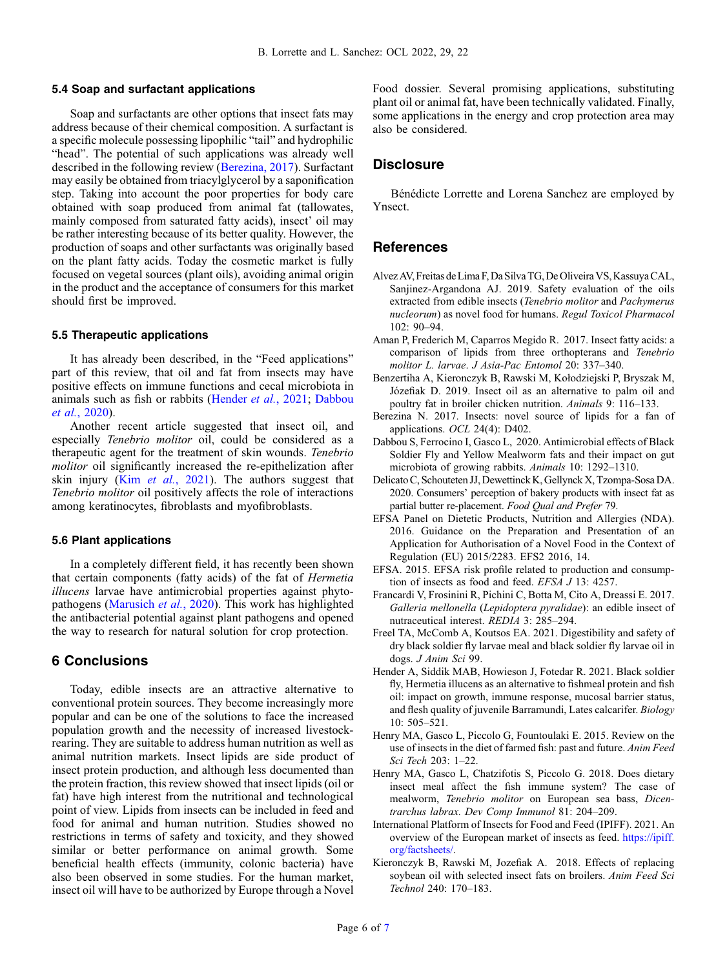#### <span id="page-5-0"></span>5.4 Soap and surfactant applications

Soap and surfactants are other options that insect fats may address because of their chemical composition. A surfactant is a specific molecule possessing lipophilic "tail" and hydrophilic "head". The potential of such applications was already well described in the following review (Berezina, 2017). Surfactant may easily be obtained from triacylglycerol by a saponification step. Taking into account the poor properties for body care obtained with soap produced from animal fat (tallowates, mainly composed from saturated fatty acids), insect' oil may be rather interesting because of its better quality. However, the production of soaps and other surfactants was originally based on the plant fatty acids. Today the cosmetic market is fully focused on vegetal sources (plant oils), avoiding animal origin in the product and the acceptance of consumers for this market should first be improved.

#### 5.5 Therapeutic applications

It has already been described, in the "Feed applications" part of this review, that oil and fat from insects may have positive effects on immune functions and cecal microbiota in animals such as fish or rabbits (Hender et al., 2021; Dabbou et al., 2020).

Another recent article suggested that insect oil, and especially Tenebrio molitor oil, could be considered as a therapeutic agent for the treatment of skin wounds. Tenebrio molitor oil significantly increased the re-epithelization after skin injury (Kim et al.[, 2021\)](#page-6-0). The authors suggest that Tenebrio molitor oil positively affects the role of interactions among keratinocytes, fibroblasts and myofibroblasts.

#### 5.6 Plant applications

In a completely different field, it has recently been shown that certain components (fatty acids) of the fat of Hermetia illucens larvae have antimicrobial properties against phyto-pathogens [\(Marusich](#page-6-0) et al., 2020). This work has highlighted the antibacterial potential against plant pathogens and opened the way to research for natural solution for crop protection.

# 6 Conclusions

Today, edible insects are an attractive alternative to conventional protein sources. They become increasingly more popular and can be one of the solutions to face the increased population growth and the necessity of increased livestockrearing. They are suitable to address human nutrition as well as animal nutrition markets. Insect lipids are side product of insect protein production, and although less documented than the protein fraction, this review showed that insect lipids (oil or fat) have high interest from the nutritional and technological point of view. Lipids from insects can be included in feed and food for animal and human nutrition. Studies showed no restrictions in terms of safety and toxicity, and they showed similar or better performance on animal growth. Some beneficial health effects (immunity, colonic bacteria) have also been observed in some studies. For the human market, insect oil will have to be authorized by Europe through a Novel Food dossier. Several promising applications, substituting plant oil or animal fat, have been technically validated. Finally, some applications in the energy and crop protection area may also be considered.

## **Disclosure**

Bénédicte Lorrette and Lorena Sanchez are employed by Ynsect.

### **References**

- AlvezAV, Freitas deLima F, Da Silva TG, De Oliveira VS, KassuyaCAL, Sanjinez-Argandona AJ. 2019. Safety evaluation of the oils extracted from edible insects (Tenebrio molitor and Pachymerus nucleorum) as novel food for humans. Regul Toxicol Pharmacol  $102:90-94.$
- Aman P, Frederich M, Caparros Megido R. 2017. Insect fatty acids: a comparison of lipids from three orthopterans and Tenebrio molitor L. larvae. J Asia-Pac Entomol 20: 337–340.
- Benzertiha A, Kieronczyk B, Rawski M, Kołodziejski P, Bryszak M, Józefiak D. 2019. Insect oil as an alternative to palm oil and poultry fat in broiler chicken nutrition. Animals 9: 116–133.
- Berezina N. 2017. Insects: novel source of lipids for a fan of applications. OCL 24(4): D402.
- Dabbou S, Ferrocino I, Gasco L, 2020. Antimicrobial effects of Black Soldier Fly and Yellow Mealworm fats and their impact on gut microbiota of growing rabbits. Animals 10: 1292–1310.
- Delicato C, Schouteten JJ, Dewettinck K, Gellynck X, Tzompa-Sosa DA. 2020. Consumers' perception of bakery products with insect fat as partial butter re-placement. Food Qual and Prefer 79.
- EFSA Panel on Dietetic Products, Nutrition and Allergies (NDA). 2016. Guidance on the Preparation and Presentation of an Application for Authorisation of a Novel Food in the Context of Regulation (EU) 2015/2283. EFS2 2016, 14.
- EFSA. 2015. EFSA risk profile related to production and consumption of insects as food and feed. EFSA J 13: 4257.
- Francardi V, Frosinini R, Pichini C, Botta M, Cito A, Dreassi E. 2017. Galleria mellonella (Lepidoptera pyralidae): an edible insect of nutraceutical interest. REDIA 3: 285–294.
- Freel TA, McComb A, Koutsos EA. 2021. Digestibility and safety of dry black soldier fly larvae meal and black soldier fly larvae oil in dogs. J Anim Sci 99.
- Hender A, Siddik MAB, Howieson J, Fotedar R. 2021. Black soldier fly, Hermetia illucens as an alternative to fishmeal protein and fish oil: impact on growth, immune response, mucosal barrier status, and flesh quality of juvenile Barramundi, Lates calcarifer. Biology 10: 505–521.
- Henry MA, Gasco L, Piccolo G, Fountoulaki E. 2015. Review on the use of insects in the diet of farmed fish: past and future. Anim Feed Sci Tech 203: 1–22.
- Henry MA, Gasco L, Chatzifotis S, Piccolo G. 2018. Does dietary insect meal affect the fish immune system? The case of mealworm, Tenebrio molitor on European sea bass, Dicentrarchus labrax. Dev Comp Immunol 81: 204–209.
- International Platform of Insects for Food and Feed (IPIFF). 2021. An overview of the European market of insects as feed. [https://ipiff.](https://ipiff.org/factsheets/) [org/factsheets/.](https://ipiff.org/factsheets/)
- Kieronczyk B, Rawski M, Jozefiak A. 2018. Effects of replacing soybean oil with selected insect fats on broilers. Anim Feed Sci Technol 240: 170–183.